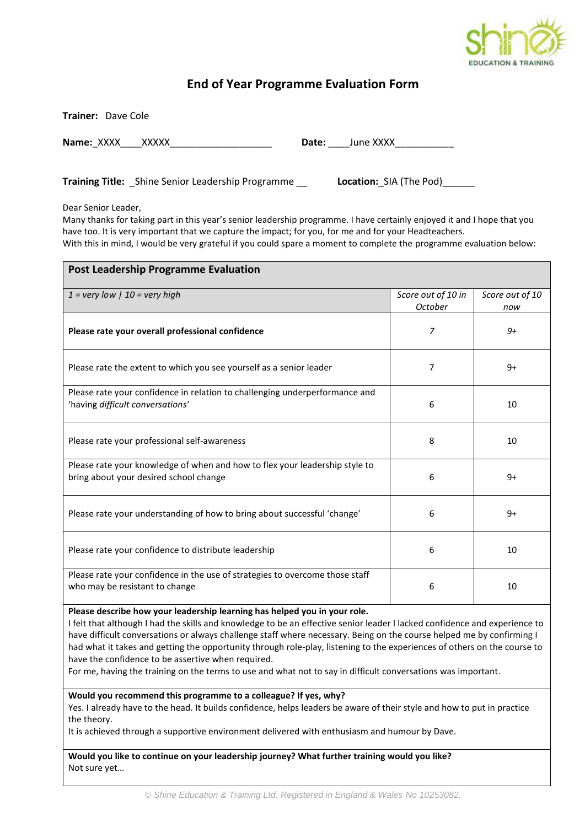

## **End of Year Programme Evaluation Form**

**Trainer:** Dave Cole

**Name:**\_XXXX\_\_\_\_XXXXX\_\_\_\_\_\_\_\_\_\_\_\_\_\_\_\_\_\_\_ **Date:** \_\_\_\_June XXXX\_\_\_\_\_\_\_\_\_\_\_

**Training Title:** Shine Senior Leadership Programme **Location:** SIA (The Pod)

Dear Senior Leader,

Many thanks for taking part in this year's senior leadership programme. I have certainly enjoyed it and I hope that you have too. It is very important that we capture the impact; for you, for me and for your Headteachers. With this in mind, I would be very grateful if you could spare a moment to complete the programme evaluation below:

| <b>Post Leadership Programme Evaluation</b>                                                                           |                               |                        |
|-----------------------------------------------------------------------------------------------------------------------|-------------------------------|------------------------|
| $1 =$ very low   $10 =$ very high                                                                                     | Score out of 10 in<br>October | Score out of 10<br>now |
| Please rate your overall professional confidence                                                                      | 7                             | $9+$                   |
| Please rate the extent to which you see yourself as a senior leader                                                   | 7                             | $9+$                   |
| Please rate your confidence in relation to challenging underperformance and<br>'having difficult conversations'       | 6                             | 10                     |
| Please rate your professional self-awareness                                                                          | 8                             | 10                     |
| Please rate your knowledge of when and how to flex your leadership style to<br>bring about your desired school change | 6                             | $9+$                   |
| Please rate your understanding of how to bring about successful 'change'                                              | 6                             | $9+$                   |
| Please rate your confidence to distribute leadership                                                                  | 6                             | 10                     |
| Please rate your confidence in the use of strategies to overcome those staff<br>who may be resistant to change        | 6                             | 10                     |
| .                                                                                                                     |                               |                        |

**Please describe how your leadership learning has helped you in your role.** 

I felt that although I had the skills and knowledge to be an effective senior leader I lacked confidence and experience to have difficult conversations or always challenge staff where necessary. Being on the course helped me by confirming I had what it takes and getting the opportunity through role-play, listening to the experiences of others on the course to have the confidence to be assertive when required.

For me, having the training on the terms to use and what not to say in difficult conversations was important.

**Would you recommend this programme to a colleague? If yes, why?**

Yes. I already have to the head. It builds confidence, helps leaders be aware of their style and how to put in practice the theory.

It is achieved through a supportive environment delivered with enthusiasm and humour by Dave.

**Would you like to continue on your leadership journey? What further training would you like?** Not sure yet…